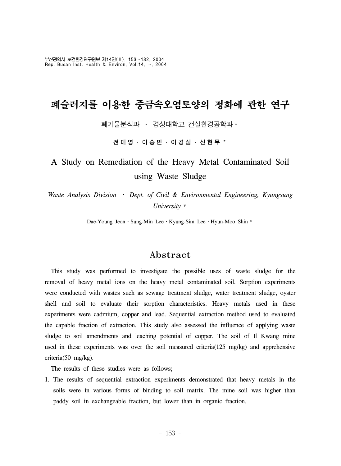부산광역시 보건환경연구원보 제14권(Ⅱ), 153~182, 2004 Rep. Busan Inst. Health & Environ, Vol.14, ~, 2004

# 폐슬러지를 이용한 중금속오염토양의 정화에 관한 연구

폐기물분석과 ․ 경성대학교 건설환경공학과\*

전대영 ․ 이승민 ․ 이경심 ․ 신현무 \*

# A Study on Remediation of the Heavy Metal Contaminated Soil using Waste Sludge

*Waste Analysis Division* ․ *Dept. of Civil & Environmental Engineering, Kyungsung University*\*

Dae-Young Jeon • Sung-Min Lee • Kyung-Sim Lee • Hyun-Moo Shin \*

## Abstract

 This study was performed to investigate the possible uses of waste sludge for the removal of heavy metal ions on the heavy metal contaminated soil. Sorption experiments were conducted with wastes such as sewage treatment sludge, water treatment sludge, oyster shell and soil to evaluate their sorption characteristics. Heavy metals used in these experiments were cadmium, copper and lead. Sequential extraction method used to evaluated the capable fraction of extraction. This study also assessed the influence of applying waste sludge to soil amendments and leaching potential of copper. The soil of Il Kwang mine used in these experiments was over the soil measured criteria(125 mg/kg) and apprehensive criteria(50 mg/kg).

The results of these studies were as follows;

1. The results of sequential extraction experiments demonstrated that heavy metals in the soils were in various forms of binding to soil matrix. The mine soil was higher than paddy soil in exchangeable fraction, but lower than in organic fraction.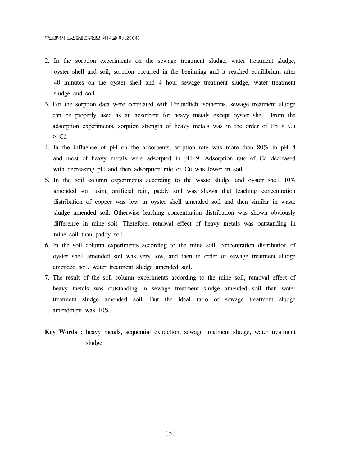- 2. In the sorption experiments on the sewage treatment sludge, water treatment sludge, oyster shell and soil, sorption occurred in the beginning and it reached equilibrium after 40 minutes on the oyster shell and 4 hour sewage treatment sludge, water treatment sludge and soil.
- 3. For the sorption data were correlated with Freundlich isotherms, sewage treatment sludge can be properly used as an adsorbent for heavy metals except oyster shell. From the adsorption experiments, sorption strength of heavy metals was in the order of Pb > Cu > Cd
- 4. In the influence of pH on the adsorbents, sorption rate was more than 80% in pH 4 and most of heavy metals were adsorpted in pH 9. Adsorption rate of Cd decreased with decreasing pH and then adsorption rate of Cu was lower in soil.
- 5. In the soil column experiments according to the waste sludge and oyster shell 10% amended soil using artificial rain, paddy soil was shown that leaching concentration distribution of copper was low in oyster shell amended soil and then similar in waste sludge amended soil. Otherwise leaching concentration distribution was shown obviously difference in mine soil. Therefore, removal effect of heavy metals was outstanding in mine soil than paddy soil.
- 6. In the soil column experiments according to the mine soil, concentration distribution of oyster shell amended soil was very low, and then in order of sewage treatment sludge amended soil, water treatment sludge amended soil.
- 7. The result of the soil column experiments according to the mine soil, removal effect of heavy metals was outstanding in sewage treatment sludge amended soil than water treatment sludge amended soil. But the ideal ratio of sewage treatment sludge amendment was 10%.
- **Key Words :** heavy metals, sequential extraction, sewage treatment sludge, water treatment sludge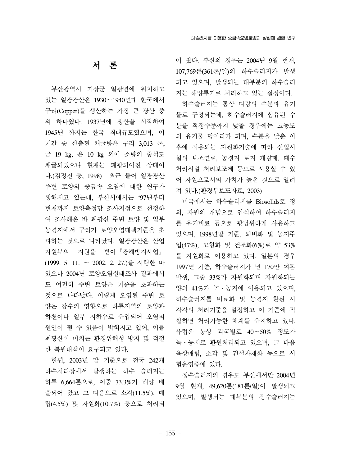## 서 론

 부산광역시 기장군 일광면에 위치하고 있는 일광광산은 1930~1940년대 한국에서 구리(Copper)를 생산하는 가장 큰 광산 중 의 하나였다. 1937년에 생산을 시작하여 1945년 까지는 한국 최대규모였으며, 이 기간 중 산출된 채굴량은 구리 3,013 톤, 금 19 kg, 은 10 kg 외에 소량의 중석도 채굴되었으나 현재는 폐광되어진 상태이 다.(김정진 등, 1998) 최근 들어 일광광산 주변 토양의 중금속 오염에 대한 연구가 행해지고 있는데, 부산시에서는 `97년부터 현재까지 토양측정망 조사지점으로 선정하 여 조사해온 바 폐광산 주변 토양 및 일부 농경지에서 구리가 토양오염대책기준을 초 과하는 것으로 나타났다. 일광광산은 산업 자원부의 지원을 받아『광해방지사업』 (1999. 5. 11. ~ 2002. 2. 27.)을 시행한 바 있으나 2004년 토양오염실태조사 결과에서 도 여전히 주변 토양은 기준을 초과하는 것으로 나타났다. 이렇게 오염된 주변 토 양은 강수의 영향으로 하류지역의 토양과 하천이나 일부 지하수로 유입되어 오염의 원인이 될 수 있음이 밝혀지고 있어, 이들 폐광산이 미치는 환경위해성 방지 및 적절 한 복원대책이 요구되고 있다.

 한편, 2003년 말 기준으로 전국 242개 하수처리장에서 발생하는 하수 슬러지는 하루 6,664톤으로, 이중 73.3%가 해양 배 출되어 왔고 그 다음으로 소각(11.5%), 매 립(4.5%) 및 자원화(10.7%) 등으로 처리되

어 왔다. 부산의 경우는 2004년 9월 현재, 107,769톤(361톤/일)의 하수슬러지가 발생 되고 있으며, 발생되는 대부분의 하수슬러 지는 해양투기로 처리하고 있는 실정이다.

 하수슬러지는 통상 다량의 수분과 유기 물로 구성되는데, 하수슬러지에 함유된 수 분을 적정수준까지 낮출 경우에는 고농도 의 유기물 덩어리가 되며, 수분을 낮춘 이 후에 적용되는 자원화기술에 따라 산업시 설의 보조연료, 농경지 토지 개량제, 폐수 처리시설 처리보조제 등으로 사용할 수 있 어 자원으로서의 가치가 높은 것으로 알려 져 있다.(환경부보도자료, 2003)

 미국에서는 하수슬러지를 Biosolids로 정 의, 자원의 개념으로 인식하여 하수슬러지 를 유기비료 등으로 광범위하게 사용하고 있으며, 1998년말 기준, 퇴비화 및 농지주 입(47%), 고형화 및 건조화(6%)로 약 53% 를 자원화로 이용하고 있다. 일본의 경우 1997년 기준, 하수슬러지가 년 170만 여톤 발생, 그중 33%가 자원화되며 자원화되는 양의 41%가 녹․농지에 이용되고 있으며, 하수슬러지를 비료화 및 농경지 환원 시 각각의 처리기준을 설정하고 이 기준에 적 합하면 처리가능한 체계를 유지하고 있다. 유럽은 통상 각국별로 40~50% 정도가 녹․농지로 환원처리되고 있으며, 그 다음 육상매립, 소각 및 건설자재화 등으로 시 험운영중에 있다.

 정수슬러지의 경우도 부산에서만 2004년 9월 현재, 49,620톤(181톤/일)이 발생되고 있으며, 발생되는 대부분의 정수슬러지는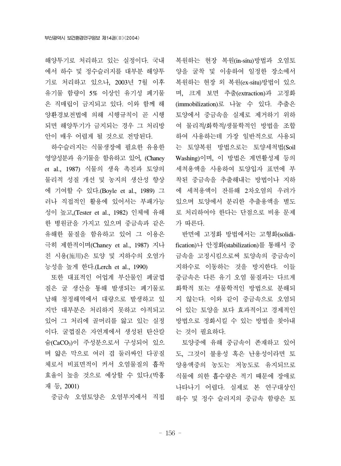해양투기로 처리하고 있는 실정이다. 국내 에서 하수 및 정수슬러지를 대부분 해양투 기로 처리하고 있으나, 2003년 7월 이후 유기물 함량이 5% 이상인 유기성 폐기물 은 직매립이 금지되고 있다. 이와 함께 해 양환경보전법에 의해 시행규칙이 곧 시행 되면 해양투기가 금지되는 경우 그 처리방 안이 매우 어렵게 될 것으로 전망된다.

 하수슬러지는 식물생장에 필요한 유용한 영양성분과 유기물을 함유하고 있어, (Chaney et al., 1987) 식물의 생육 촉진과 토양의 물리적 성질 개선 및 농지의 생산성 향상 에 기여할 수 있다.(Boyle et al., 1989) 그 러나 직접적인 활용에 있어서는 부패가능 성이 높고,(Tester et al., 1982) 인체에 유해 한 병원균을 가지고 있으며 중금속과 같은 유해한 물질을 함유하고 있어 그 이용은 극히 제한적이며(Chaney et al., 1987) 지나 친 시용(施用)은 토양 및 지하수의 오염가 능성을 높게 한다.(Lerch et al., 1990)

 또한 대표적인 어업계 부산물인 폐굴껍 질은 굴 생산을 통해 발생되는 폐기물로 남해 청정해역에서 대량으로 발생하고 있 지만 대부분은 처리하지 못하고 야적되고 있어 그 처리에 골머리를 앓고 있는 실정 이다. 굴껍질은 자연계에서 생성된 탄산칼 슘(CaCO3)이 주성분으로서 구성되어 있으 며 얇은 막으로 여러 겹 둘러싸인 다공질 체로서 비표면적이 커서 오염물질의 흡착 효율이 높을 것으로 예상할 수 있다.(박흥 재 등, 2001)

중금속 오염토양은 오염부지에서 직접

복원하는 현장 복원(in-situ)방법과 오염토 양을 굴착 및 이송하여 일정한 장소에서 복원하는 현장 외 복원(ex-situ)방법이 있으 며, 크게 보면 추출(extraction)과 고정화 (immobilization)로 나눌 수 있다. 추출은 토양에서 중금속을 실제로 제거하기 위하 여 물리적/화학적/생물학적인 방법을 조합 하여 사용하는데 가장 일반적으로 사용되 는 토양복원 방법으로는 토양세척법(Soil Washing)이며, 이 방법은 계면활성제 등의 세척용액을 사용하여 토양입자 표면에 부 착된 중금속을 추출해내는 방법이나 지하 에 세척용액이 잔류해 2차오염의 우려가 있으며 토양에서 분리한 추출용액을 별도 로 처리하여야 한다는 단점으로 비용 문제 가 따른다.

 반면에 고정화 방법에서는 고형화(solidification)나 안정화(stabilization)를 통해서 중 금속을 고정시킴으로써 토양속의 중금속이 지하수로 이동하는 것을 방지한다. 이들 중금속은 다른 유기 오염 물질과는 다르게 화학적 또는 생물학적인 방법으로 분해되 지 않는다. 이와 같이 중금속으로 오염되 어 있는 토양을 보다 효과적이고 경제적인 방법으로 정화시킬 수 있는 방법을 찾아내 는 것이 필요하다.

 토양중에 유해 중금속이 존재하고 있어 도, 그것이 불용성 혹은 난용성이라면 토 양용액중의 농도는 저농도로 유지되므로 식물에 의한 흡수량은 적기 때문에 장애로 나타나기 어렵다. 실제로 본 연구대상인 하수 및 정수 슬러지의 중금속 함량은 토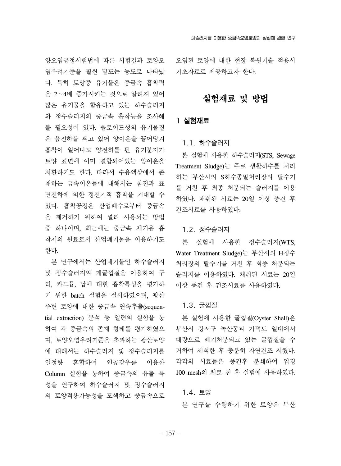양오염공정시험법에 따른 시험결과 토양오 염우려기준을 훨씬 밑도는 농도로 나타났 다. 특히 토양중 유기물은 중금속 흡착력 을 2~4배 증가시키는 것으로 알려져 있어 많은 유기물을 함유하고 있는 하수슬러지 와 정수슬러지의 중금속 흡착능을 조사해 볼 필요성이 있다. 콜로이드성의 유기물질 은 음전하를 띄고 있어 양이온을 끌어당겨 흡착이 일어나고 양전하를 띈 유기분자가 토양 표면에 이미 결합되어있는 양이온을 치환하기도 한다. 따라서 수용액상에서 존 재하는 금속이온들에 대해서는 침전과 표 면전하에 의한 정전기적 흡착을 기대할 수 있다. 흡착공정은 산업폐수로부터 중금속 을 제거하기 위하여 널리 사용되는 방법 중 하나이며, 최근에는 중금속 제거용 흡 착제의 원료로서 산업폐기물을 이용하기도 한다.

 본 연구에서는 산업폐기물인 하수슬러지 및 정수슬러지와 폐굴껍질을 이용하여 구 리, 카드뮴, 납에 대한 흡착특성을 평가하 기 위한 batch 실험을 실시하였으며, 광산 주변 토양에 대한 중금속 연속추출(sequential extraction) 분석 등 일련의 실험을 통 하여 각 중금속의 존재 형태를 평가하였으 며, 토양오염우려기준을 초과하는 광산토양 에 대해서는 하수슬러지 및 정수슬러지를 일정량 혼합하여 인공강우를 이용한 Column 실험을 통하여 중금속의 유출 특 성을 연구하여 하수슬러지 및 정수슬러지 의 토양적용가능성을 모색하고 중금속으로

오염된 토양에 대한 현장 복원기술 적용시 기초자료로 제공하고자 한다.

## 실험재료 및 방법

### 1 실험재료

#### 1.1. 하수슬러지

 본 실험에 사용한 하수슬러지(STS, Sewage Treatment Sludge)는 주로 생활하수를 처리 하는 부산시의 S하수종말처리장의 탈수기 를 거친 후 최종 처분되는 슬러지를 이용 하였다. 채취된 시료는 20일 이상 풍건 후 건조시료를 사용하였다.

## 1.2. 정수슬러지

 본 실험에 사용한 정수슬러지(WTS, Water Treatment Sludge)는 부산시의 H정수 처리장의 탈수기를 거친 후 최종 처분되는 슬러지를 이용하였다. 채취된 시료는 20일 이상 풍건 후 건조시료를 사용하였다.

#### 1.3. 굴껍질

 본 실험에 사용한 굴껍질(Oyster Shell)은 부산시 강서구 녹산동과 가덕도 일대에서 대량으로 폐기처분되고 있는 굴껍질을 수 거하여 세척한 후 충분히 자연건조 시켰다. 각각의 시료들은 풍건후 분쇄하여 입경 100 mesh의 체로 친 후 실험에 사용하였다.

#### 1.4. 토양

본 연구를 수행하기 위한 토양은 부산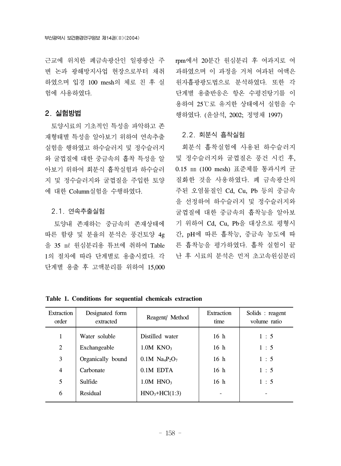근교에 위치한 폐금속광산인 일광광산 주 변 논과 광해방지사업 현장으로부터 채취 하였으며 입경 100 mesh의 체로 친 후 실 험에 사용하였다.

## 2. 실험방법

 토양시료의 기초적인 특성을 파악하고 존 재형태별 특성을 알아보기 위하여 연속추출 실험을 행하였고 하수슬러지 및 정수슬러지 와 굴껍질에 대한 중금속의 흡착 특성을 알 아보기 위하여 회분식 흡착실험과 하수슬러 지 및 정수슬러지와 굴껍질을 주입한 토양 에 대한 Column실험을 수행하였다.

#### 2.1. 연속추출실험

 토양내 존재하는 중금속의 존재상태에 따른 함량 및 분율의 분석은 풍건토양 4g 을 35 ㎖ 원심분리용 튜브에 취하여 Table 1의 절차에 따라 단계별로 용출시켰다. 각 단계별 용출 후 고액분리를 위하여 15,000

rpm에서 20분간 원심분리 후 여과지로 여 과하였으며 이 과정을 거쳐 여과된 여액은 원자흡광광도법으로 분석하였다. 또한 각 단계별 용출반응은 항온 수평진탕기를 이 용하여 25℃로 유지한 상태에서 실험을 수 행하였다. (윤삼석, 2002; 정명채 1997)

#### 2.2. 회분식 흡착실험

 회분식 흡착실험에 사용된 하수슬러지 및 정수슬러지와 굴껍질은 풍건 시킨 후, 0.15 ㎜ (100 mesh) 표준체를 통과시켜 균 질화한 것을 사용하였다. 폐 금속광산의 주된 오염물질인 Cd, Cu, Pb 등의 중금속 을 선정하여 하수슬러지 및 정수슬러지와 굴껍질에 대한 중금속의 흡착능을 알아보 기 위하여 Cd, Cu, Pb을 대상으로 평형시 간, pH에 따른 흡착능, 중금속 농도에 따 른 흡착능을 평가하였다. 흡착 실험이 끝 난 후 시료의 분석은 먼저 초고속원심분리

| Extraction<br>order | Designated form<br>extracted | Reagent/ Method                                      | Extraction<br>time | Solids : reagent<br>volume ratio |
|---------------------|------------------------------|------------------------------------------------------|--------------------|----------------------------------|
|                     | Water soluble                | Distilled water                                      | 16 <sub>h</sub>    | 1:5                              |
| 2                   | Exchangeable                 | $1.0M$ KNO <sub>3</sub>                              | 16 <sub>h</sub>    | 1:5                              |
| 3                   | Organically bound            | $0.1M$ Na <sub>4</sub> P <sub>2</sub> O <sub>7</sub> | 16 <sub>h</sub>    | 1:5                              |
| $\overline{4}$      | Carbonate                    | $0.1M$ EDTA                                          | 16 <sub>h</sub>    | 1:5                              |
| 5                   | Sulfide                      | $1.0M$ HNO <sub>3</sub>                              | 16 <sub>h</sub>    | 1:5                              |
| 6                   | Residual                     | $HNO3+HCl(1:3)$                                      |                    |                                  |

**Table 1. Conditions for sequential chemicals extraction**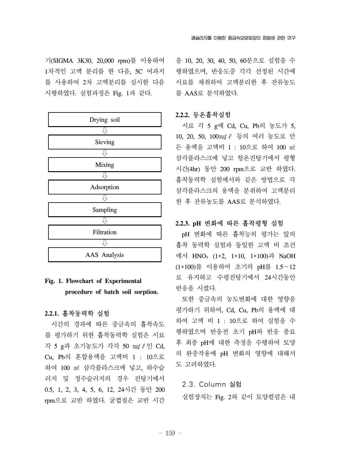기(SIGMA 3K30, 20,000 rpm)를 이용하여 1차적인 고액 분리를 한 다음, 5C 여과지 를 사용하여 2차 고액분리를 실시한 다음 시행하였다. 실험과정은 Fig. 1과 같다.

| Drying soil  |
|--------------|
|              |
| Sieving      |
|              |
| Mixing       |
|              |
| Adsorption   |
|              |
| Sampling     |
|              |
| Filtration   |
|              |
| AAS Analysis |

## **Fig. 1. Flowchart of Experimental procedure of batch soil sorption.**

### **2.2.1.** 흡착동력학 실험

 시간의 경과에 따른 중금속의 흡착속도 를 평가하기 위한 흡착동력학 실험은 시료 각 5 g과 초기농도가 각각 50 ㎎/ℓ인 Cd, Cu, Pb의 혼합용액을 고액비 1 : 10으로 하여 100 ㎖ 삼각플라스크에 넣고, 하수슬 러지 및 정수슬러지의 경우 진탕기에서 0.5, 1, 2, 3, 4, 5, 6, 12, 24시간 동안 200 rpm으로 교반 하였다. 굴껍질은 교반 시간

을 10, 20, 30, 40, 50, 60분으로 실험을 수 행하였으며, 반응도중 각각 선정된 시간에 시료를 채취하여 고액분리한 후 잔류농도 를 AAS로 분석하였다.

#### **2.2.2.** 등온흡착실험

 시료 각 5 g에 Cd, Cu, Pb의 농도가 5, 10, 20, 50, 100㎎/ℓ 등의 여러 농도로 만 든 용액을 고액비 1 : 10으로 하여 100 ㎖ 삼각플라스크에 넣고 항온진탕기에서 평형 시간(4hr) 동안 200 rpm으로 교반 하였다. 흡착동력학 실험에서와 같은 방법으로 각 삼각플라스크의 용액을 분취하여 고액분리 한 후 잔류농도를 AAS로 분석하였다.

#### **2.2.3. pH** 변화에 따른 흡착평형 실험

 pH 변화에 따른 흡착능의 평가는 앞의 흡착 동력학 실험과 동일한 고액 비 조건 에서 HNO3 (1+2, 1+10, 1+100)과 NaOH (1+100)를 이용하여 초기의 pH를 1.5~12 로 유지하고 수평진탕기에서 24시간동안 반응을 시켰다.

 또한 중금속의 농도변화에 대한 영향을 평가하기 위하여, Cd, Cu, Pb의 용액에 대 하여 고액 비 1 : 10으로 하여 실험을 수 행하였으며 반응전 초기 pH와 반응 종료 후 최종 pH에 대한 측정을 수행하여 토양 의 완충작용에 pH 변화의 영향에 대해서 도 고려하였다.

#### 2.3. Column 실험

실험장치는 Fig. 2와 같이 토양컬럼은 내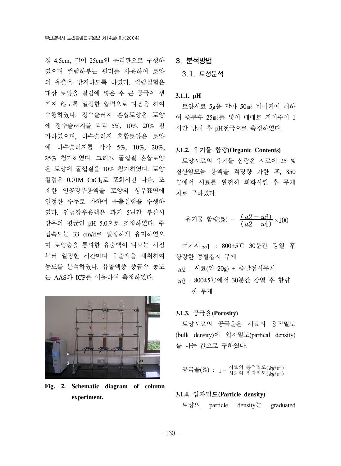경 4.5cm, 길이 25cm인 유리관으로 구성하 였으며 컬럼하부는 필터를 사용하여 토양 의 유출을 방지하도록 하였다. 컬럼실험은 대상 토양을 컬럼에 넣은 후 큰 공극이 생 기지 않도록 일정한 압력으로 다짐을 하여 수행하였다. 정수슬러지 혼합토양은 토양 에 정수슬러지를 각각 5%, 10%, 20% 첨 가하였으며, 하수슬러지 혼합토양은 토양 에 하수슬러지를 각각 5%, 10%, 20%, 25% 첨가하였다. 그리고 굴껍질 혼합토양 은 토양에 굴껍질을 10% 첨가하였다. 토양 컬럼은 0.01M CaCl<sub>2</sub>로 포화시킨 다음, 조 제한 인공강우용액을 토양의 상부표면에 일정한 수두로 가하여 유출실험을 수행하 였다. 인공강우용액은 과거 5년간 부산시 강우의 평균인 pH 5.0으로 조정하였다. 주 입속도는 33 cm/d로 일정하게 유지하였으 며 토양층을 통과한 유출액이 나오는 시점 부터 일정한 시간마다 유출액을 채취하여 농도를 분석하였다. 유출액중 중금속 농도 는 AAS와 ICP를 이용하여 측정하였다.



**Fig. 2. Schematic diagram of column experiment.**

## 3. 분석방법

3.1. 토성분석

#### **3.1.1. pH**

토양시료 5g을 달아 50㎖ 비이커에 취하 여 증류수 25㎖를 넣어 때때로 저어주어 1 시간 방치 후 pH전극으로 측정하였다.

#### **3.1.2.** 유기물 함량**(Organic Contents)**

토양시료의 유기물 함량은 시료에 25 % 질산암모늄 용액을 적당량 가한 후, 850 ℃에서 시료를 완전히 회화시킨 후 무게 차로 구하였다.

유기물 합량(%) = 
$$
\frac{(w2 - w3)}{(w2 - w1)} \times 100
$$

 여기서 w1 : 800±5℃ 30분간 강열 후 항량한 증발접시 무게  $w2$  : 시료(약 20g) + 증발접시무게 w3 : 800±5℃에서 30분간 강열 후 항량 한 무게

#### **3.1.3.** 공극율**(Porosity)**

토양시료의 공극율은 시료의 용적밀도 (bulk density)에 입자밀도(partical density) 를 나눈 값으로 구하였다.

공극율(%) : 1-<u>시료의 용적밀도(*kg*/㎡)</u><br>이 : 1-시료의 입자밀도(*kg*/㎡)

#### **3.1.4.** 입자밀도**(Particle density)**

토양의 particle density는 graduated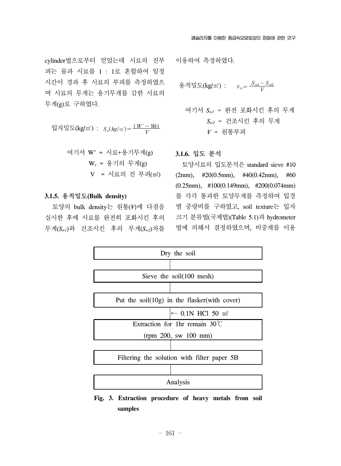cylinder법으로부터 얻었는데 시료의 진부 피는 물과 시료를 1 : 1로 혼합하여 일정 시간이 경과 후 시료의 부피를 측정하였으 며 시료의 무게는 용기무게를 감한 시료의 무게(g)로 구하였다.

$$
d^2\overline{A} \equiv K(g/m^2) : S_a(kg/m^2) = \frac{(W'-W)}{V}
$$

 여기서 W' = 시료+용기무게(g) Wv = 용기의 무게(g) V = 시료의 진 부피(㎖)

#### **3.1.5.** 용적밀도**(Bulk density)**

 토양의 bulk density는 원통(*V*)에 다짐을 실시한 후에 시료를 완전히 포화시킨 후의 무게(*Sw1*)와 건조시킨 후의 무게(*Sw2*)차를

이용하여 측정하였다.

용적민도
$$
(kg/m)
$$
 :  $p_b = \frac{S_{w1} - S_{w2}}{V}$ 

여기서 
$$
S_{w1}
$$
 = 완전 포화시진 후의 무게  $S_{w2}$  = 건조시진 후의 무게  $V$  = 원통부교

#### **3.1.6.** 입도 분석

 토양시료의 입도분석은 standard sieve #10 (2mm), #20(0.5mm), #40(0.42mm), #60 (0.25mm), #100(0.149mm), #200(0.074mm) 를 각각 통과한 토양무게를 측정하여 입경 별 중량비를 구하였고, soil texture는 입자 크기 분류법(국제법)(Table 5.1)과 hydrometer 법에 의해서 결정하였으며, 비중계를 이용



**Fig. 3. Extraction procedure of heavy metals from soil samples**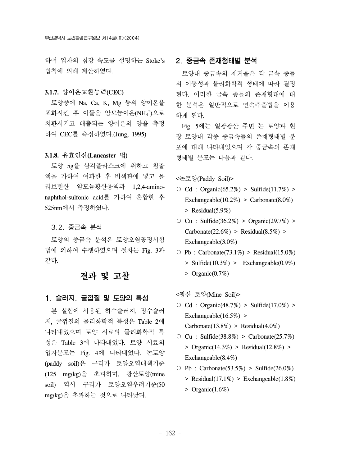하여 입자의 침강 속도를 설명하는 Stoke's 법칙에 의해 계산하였다.

#### **3.1.7.** 양이온교환능력**(CEC)**

 토양중에 Na, Ca, K, Mg 등의 양이온을 포화시킨 후 이들을 암모늄이온(NH4 + )으로 치환시키고 배출되는 양이온의 양을 측정 하여 CEC를 측정하였다.(Jung, 1995)

#### **3.1.8.** 유효인산**(Lancaster** 법**)**

 토양 5g을 삼각플라스크에 취하고 침출 액을 가하여 여과한 후 비색관에 넣고 몰 리브덴산 암모늄황산용액과 1,2,4-aminonaphthol-sulfonic acid를 가하여 혼합한 후 525nm에서 측정하였다.

#### 3.2. 중금속 분석

 토양의 중금속 분석은 토양오염공정시험 법에 의하여 수행하였으며 절차는 Fig. 3과 같다.

## 결과 및 고찰

#### 1. 슬러지, 굴껍질 및 토양의 특성

 본 실험에 사용된 하수슬러지, 정수슬러 지, 굴껍질의 물리화학적 특성은 Table 2에 나타내었으며 토양 시료의 물리화학적 특 성은 Table 3에 나타내었다. 토양 시료의 입자분포는 Fig. 4에 나타내었다. 논토양 (paddy soil)은 구리가 토양오염대책기준 (125 mg/kg)을 초과하며, 광산토양(mine soil) 역시 구리가 토양오염우려기준(50 mg/kg)을 초과하는 것으로 나타났다.

## 2. 중금속 존재형태별 분석

 토양내 중금속의 제거율은 각 금속 종들 의 이동성과 물리화학적 형태에 따라 결정 된다. 이러한 금속 종들의 존재형태에 대 한 분석은 일반적으로 연속추출법을 이용 하게 된다.

 Fig. 5에는 일광광산 주변 논 토양과 현 장 토양내 각종 중금속들의 존재형태별 분 포에 대해 나타내었으며 각 중금속의 존재 형태별 분포는 다음과 같다.

<논토양(Paddy Soil)>

- Cd : Organic(65.2%) > Sulfide(11.7%) > Exchangeable( $10.2\%$ ) > Carbonate( $8.0\%$ ) > Residual(5.9%)
- $\circ$  Cu : Sulfide(36.2%) > Organic(29.7%) > Carbonate $(22.6\%)$  > Residual $(8.5\%)$  > Exchangeable(3.0%)
- $\circ$  Pb : Carbonate(73.1%) > Residual(15.0%) > Sulfide(10.3%) > Exchangeable(0.9%) > Organic(0.7%)

<광산 토양(Mine Soil)>

- Cd : Organic(48.7%) > Sulfide(17.0%) > Exchangeable( $16.5\%$ ) >  $Carbonate(13.8%) > Residual(4.0%)$
- $\circ$  Cu : Sulfide(38.8%) > Carbonate(25.7%)  $>$  Organic(14.3%) > Residual(12.8%) > Exchangeable(8.4%)
- $\circ$  Pb : Carbonate(53.5%) > Sulfide(26.0%)
	- > Residual(17.1%) > Exchangeable(1.8%)
	- $>$  Organic $(1.6\%)$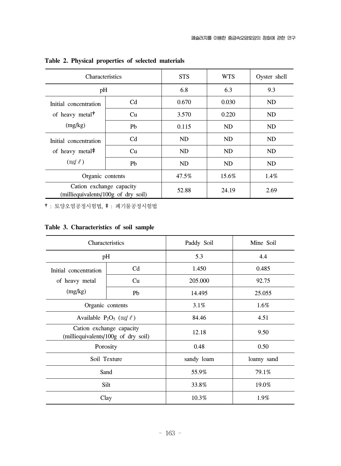| Characteristics                                                 |                | <b>STS</b> | <b>WTS</b> | Oyster shell |
|-----------------------------------------------------------------|----------------|------------|------------|--------------|
| pH                                                              |                | 6.8        | 6.3        | 9.3          |
| Initial concentration<br>of heavy metal <sup>†</sup>            | C <sub>d</sub> | 0.670      | 0.030      | ND           |
|                                                                 | Cu             | 3.570      | 0.220      | ND           |
| (mg/kg)                                                         | Pb             | 0.115      | ND         | ND           |
| Initial concentration                                           | C <sub>d</sub> | ND         | ND         | ND           |
| of heavy metal <sup>‡</sup>                                     | Cu             | ND         | ND         | ND           |
| $(mg/\ell)$                                                     | P <sub>b</sub> | <b>ND</b>  | <b>ND</b>  | ND           |
| Organic contents                                                |                | 47.5%      | 15.6%      | $1.4\%$      |
| Cation exchange capacity<br>(milliequivalents/100g of dry soil) |                | 52.88      | 24.19      | 2.69         |

**Table 2. Physical properties of selected materials**

†: 토양오염공정시험법, ‡: 폐기물공정시험법

## **Table 3. Characteristics of soil sample**

| Characteristics                                                 |                | Paddy Soil | Mine Soil  |
|-----------------------------------------------------------------|----------------|------------|------------|
| pH                                                              |                | 5.3        | 4.4        |
| Initial concentration                                           | C <sub>d</sub> | 1.450      | 0.485      |
| of heavy metal                                                  | Cu             | 205.000    | 92.75      |
| (mg/kg)                                                         | Pb             | 14.495     | 25.055     |
| Organic contents                                                |                | 3.1%       | 1.6%       |
| Available $P_2O_5$ (mg/ $\ell$ )                                |                | 84.46      | 4.51       |
| Cation exchange capacity<br>(milliequivalents/100g of dry soil) |                | 12.18      | 9.50       |
| Porosity                                                        |                | 0.48       | 0.50       |
| Soil Texture                                                    |                | sandy loam | loamy sand |
| Sand                                                            |                | 55.9%      | 79.1%      |
| Silt                                                            |                | 33.8%      | 19.0%      |
| Clay                                                            |                | 10.3%      | 1.9%       |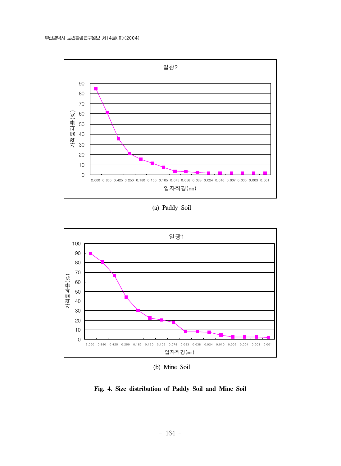

(a) Paddy Soil



(b) Mine Soil

## **Fig. 4. Size distribution of Paddy Soil and Mine Soil**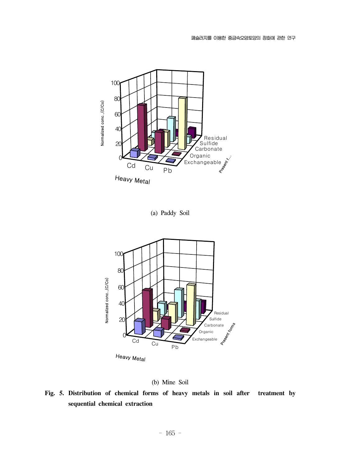

(a) Paddy Soil





**Fig. 5. Distribution of chemical forms of heavy metals in soil after treatment by sequential chemical extraction**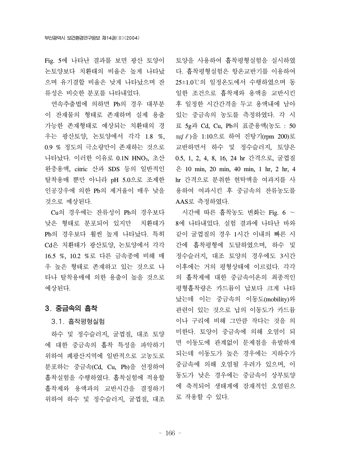Fig. 5에 나타난 결과를 보면 광산 토양이 논토양보다 치환태의 비율은 높게 나타났 으며 유기결합 비율은 낮게 나타났으며 잔 류성은 비슷한 분포를 나타내었다.

 연속추출법에 의하면 Pb의 경우 대부분 이 잔재물의 형태로 존재하며 실제 용출 가능한 존재형태로 예상되는 치환태의 경 우는 광산토양, 논토양에서 각각 1.8 %, 0.9 % 정도의 극소량만이 존재하는 것으로 나타났다. 이러한 이유로 0.1N HNO<sub>3</sub>, 초산 완충용액, citric 산과 SDS 등의 일반적인 탈착용매 뿐만 아니라 pH 5.0으로 조제한 인공강우에 의한 Pb의 제거율이 매우 낮을 것으로 예상된다.

 Cu의 경우에는 잔류성이 Pb의 경우보다 낮은 형태로 분포되어 있지만 치환태가 Pb의 경우보다 훨씬 높게 나타났다. 특히 Cd은 치환태가 광산토양, 논토양에서 각각 16.5 %, 10.2 %로 다른 금속종에 비해 매 우 높은 형태로 존재하고 있는 것으로 나 타나 탈착용매에 의한 용출이 높을 것으로 예상된다.

### 3. 중금속의 흡착

#### 3.1. 흡착평형실험

 하수 및 정수슬러지, 굴껍질, 대조 토양 에 대한 중금속의 흡착 특성을 파악하기 위하여 폐광산지역에 일반적으로 고농도로 분포하는 중금속(Cd, Cu, Pb)을 선정하여 흡착실험을 수행하였다. 흡착실험에 적용할 흡착제와 용액과의 교반시간을 결정하기 위하여 하수 및 정수슬러지, 굴껍질, 대조

토양을 사용하여 흡착평형실험을 실시하였 다. 흡착평형실험은 항온교반기를 이용하여 25±1.0℃의 일정온도에서 수행하였으며 동 일한 조건으로 흡착제와 용액을 교반시킨 후 일정한 시간간격을 두고 용액내에 남아 있는 중금속의 농도를 측정하였다. 각 시 료 5g과 Cd, Cu, Pb의 표준용액(농도 : 50 ㎎/ℓ)을 1:10으로 하여 진탕기(rpm 200)로 교반하면서 하수 및 정수슬러지, 토양은 0.5, 1, 2, 4, 8, 16, 24 hr 간격으로, 굴껍질 은 10 min, 20 min, 40 min, 1 hr, 2 hr, 4 hr 간격으로 분취한 현탁액을 여과지를 사 용하여 여과시킨 후 중금속의 잔류농도를 AAS로 측정하였다.

 시간에 따른 흡착농도 변화는 Fig. 6 ~ 8에 나타내었다. 실험 결과에 나타난 바와 같이 굴껍질의 경우 1시간 이내의 빠른 시 간에 흡착평형에 도달하였으며, 하수 및 정수슬러지, 대조 토양의 경우에도 3시간 이후에는 거의 평형상태에 이르렀다. 각각 의 흡착제에 대한 중금속이온의 최종적인 평형흡착량은 카드뮴이 납보다 크게 나타 났는데 이는 중금속의 이동도(mobility)와 관련이 있는 것으로 납의 이동도가 카드뮴 이나 구리에 비해 그만큼 작다는 것을 의 미한다. 토양이 중금속에 의해 오염이 되 면 이동도에 관계없이 문제점을 유발하게 되는데 이동도가 높은 경우에는 지하수가 중금속에 의해 오염될 우려가 있으며, 이 동도가 낮은 경우에는 중금속이 상부토양 에 축적되어 생태계에 잠재적인 오염원으 로 작용할 수 있다.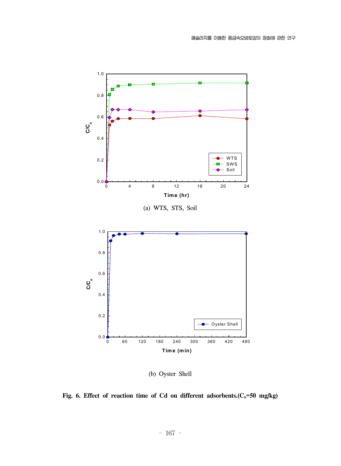

(b) Oyster Shell

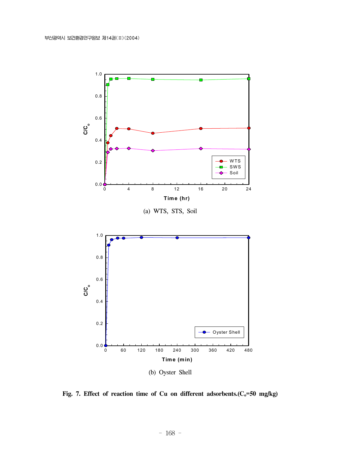

Fig. 7. Effect of reaction time of Cu on different adsorbents.(C<sub>o</sub>=50 mg/kg)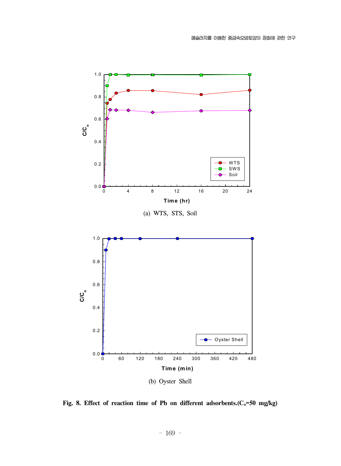

Fig. 8. Effect of reaction time of Pb on different adsorbents.(C<sub>o</sub>=50 mg/kg)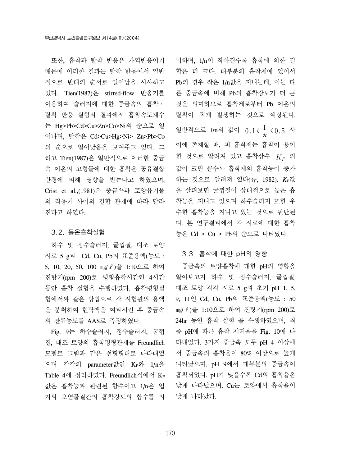또한, 흡착과 탈착 반응은 가역반응이기 때문에 이러한 결과는 탈착 반응에서 일반 적으로 반대의 순서로 일어남을 시사하고 있다. Tien(1987)은 stirred-flow 반응기를 이용하여 슬러지에 대한 중금속의 흡착․ 탈착 반응 실험의 결과에서 흡착속도계수 는 Hg>Pb>Cd>Cu>Zn>Co>Ni의 순으로 일 어나며, 탈착은 Cd>Cu>Hg>Ni> Zn>Pb>Co 의 순으로 일어났음을 보여주고 있다. 그 리고 Tien(1987)은 일반적으로 이러한 중금 속 이온의 고형물에 대한 흡착은 공유결합 반경에 의해 영향을 받는다고 하였으며, Crist et al.,(1981)은 중금속과 토양유기물 의 작용기 사이의 결합 관계에 따라 달라 진다고 하였다.

#### 3.2. 등온흡착실험

 하수 및 정수슬러지, 굴껍질, 대조 토양 시료 5 g과 Cd, Cu, Pb의 표준용액(농도 : 5, 10, 20, 50, 100 mg/ ℓ)을 1:10으로 하여 진탕기(rpm 200)로 평형흡착시간인 4시간 동안 흡착 실험을 수행하였다. 흡착평형실 험에서와 같은 방법으로 각 시험관의 용액 을 분취하여 현탁액을 여과시킨 후 중금속 의 잔류농도를 AAS로 측정하였다.

 Fig. 9는 하수슬러지, 정수슬러지, 굴껍 질, 대조 토양의 흡착평형관계를 Freundlich 모델로 그림과 같은 선형형태로 나타내었 으며 각각의 parameter값인 KF와 1/n을 Table 4에 정리하였다. Freundlich식에서 KF 값은 흡착능과 관련된 함수이고 1/n은 입 자와 오염물질간의 흡착강도의 함수를 의

미하며, 1/n이 작아질수록 흡착에 의한 결 합은 더 크다. 대부분의 흡착제에 있어서 Pb의 경우 작은 1/n값을 지니는데, 이는 다 른 중금속에 비해 Pb의 흡착강도가 더 큰 것을 의미하므로 흡착제로부터 Pb 이온의 탈착이 적게 발생하는 것으로 예상된다. 일반적으로 1/n의 값이  $0.1 \langle \frac{1}{n} \langle 0.5 \rangle$ 이에 존재할 때, 피 흡착제는 흡착이 용이 한 것으로 알려져 있고 흡착상수  $K_F$  의 값이 크면 클수록 흡착제의 흡착능이 증가 하는 것으로 알려져 있다(류, 1982). *KF*값 을 살펴보면 굴껍질이 상대적으로 높은 흡 착능을 지니고 있으며 하수슬러지 또한 우 수한 흡착능을 지니고 있는 것으로 판단된 다. 본 연구결과에서 각 시료에 대한 흡착 능은 Cd > Cu > Pb의 순으로 나타났다.

#### 3.3. 흡착에 대한 pH의 영향

 중금속의 토양흡착에 대한 pH의 영향을 알아보고자 하수 및 정수슬러지, 굴껍질, 대조 토양 각각 시료 5 g과 초기 pH 1, 5, 9, 11인 Cd, Cu, Pb의 표준용액(농도 : 50 ㎎/ℓ)을 1:10으로 하여 진탕기(rpm 200)로 24hr 동안 흡착 실험 을 수행하였으며, 최 종 pH에 따른 흡착 제거율을 Fig. 10에 나 타내었다. 3가지 중금속 모두 pH 4 이상에 서 중금속의 흡착율이 80% 이상으로 높게 나타났으며, pH 9에서 대부분의 중금속이 흡착되었다. pH가 낮을수록 Cd의 흡착율은 낮게 나타났으며, Cu는 토양에서 흡착율이 낮게 나타났다.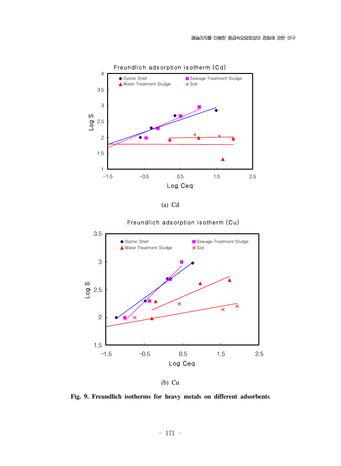

(a) Cd



Freundlich adsorption isotherm (Cu)

(b) Cu

**Fig. 9. Freundlich isotherms for heavy metals on different adsorbents**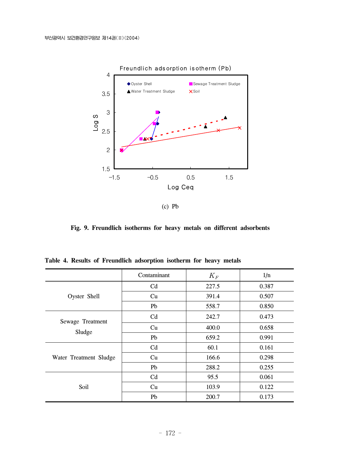

(c) Pb

**Fig. 9. Freundlich isotherms for heavy metals on different adsorbents**

|                        | Contaminant    | $K_F$ | 1/n   |
|------------------------|----------------|-------|-------|
|                        | C <sub>d</sub> | 227.5 | 0.387 |
| Oyster Shell           | Cu             | 391.4 | 0.507 |
|                        | Pb             | 558.7 | 0.850 |
|                        | C <sub>d</sub> | 242.7 | 0.473 |
| Sewage Treatment       | Cu             | 400.0 | 0.658 |
| Sludge                 | Pb             | 659.2 | 0.991 |
|                        | C <sub>d</sub> | 60.1  | 0.161 |
| Water Treatment Sludge | Cu             | 166.6 | 0.298 |
|                        | Pb             | 288.2 | 0.255 |
|                        | Cd             | 95.5  | 0.061 |
| Soil                   | Cu             | 103.9 | 0.122 |
|                        | Pb             | 200.7 | 0.173 |

**Table 4. Results of Freundlich adsorption isotherm for heavy metals**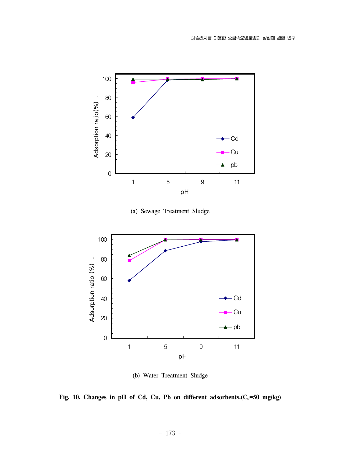

(a) Sewage Treatment Sludge



(b) Water Treatment Sludge

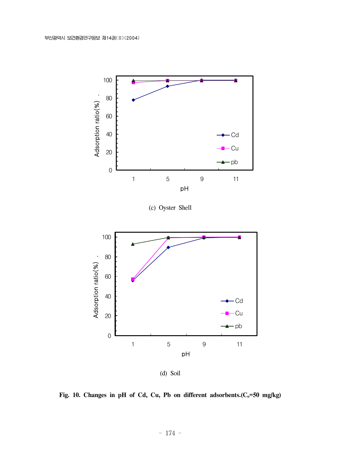

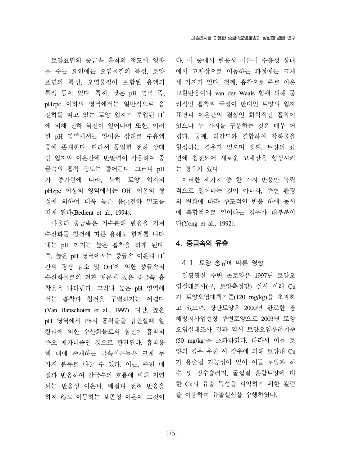토양표면의 중금속 흡착의 정도에 영향 을 주는 요인에는 오염물질의 특성, 토양 표면의 특성, 오염물질이 포함된 용액의 특성 등이 있다. 특히, 낮은 pH 영역 즉, pHzpc 이하의 영역에서는 일반적으로 음 전하를 띠고 있는 토양 입자가 주입된 H<sup>+</sup> 에 의해 전하 역전이 일어나며 또한, 이러 한 pH 영역에서는 양이온 상태로 수용액 중에 존재한다. 따라서 동일한 전하 상태 인 입자와 이온간에 반발력이 작용하여 중 금속의 흡착 정도는 줄어든다. 그러나 pH 가 증가함에 따라, 특히 토양 입자의 pHzpc 이상의 영역에서는 OH- 이온의 형 성에 의하여 더욱 높은 음(-)전하 밀도를 띠게 된다(Bedient et al., 1994).

 아울러 중금속은 가수분해 반응을 거쳐 수산화물 침전에 따른 용해도 한계를 나타 내는 pH 까지는 높은 흡착을 하게 된다. 즉, 높은 pH 영역에서는 중금속 이온과 H<sup>+</sup> 간의 경쟁 감소 및 OH-에 의한 중금속의 수산화물로의 전환 때문에 높은 중금속 흡 착율을 나타낸다. 그러나 높은 pH 영역에 서는 흡착과 침전을 구별하기는 어렵다 (Van Banschoten et al., 1997). 다만, 높은 pH 영역에서 Pb의 흡착율을 감안할때 알 칼리에 의한 수산화물로의 침전이 흡착의 주요 메카니즘인 것으로 판단된다. 흡착용 액 내에 존재하는 금속이온들은 크게 두 가지 분류로 나눌 수 있다. 이는, 주변 매 질과 반응하여 간극수의 흐름에 비해 지연 되는 반응성 이온과, 매질과 전혀 반응을 하지 않고 이동하는 보존성 이온이 그것이

다. 이 중에서 반응성 이온이 수용성 상태 에서 고체상으로 이동하는 과정에는 크게 세 가지가 있다. 첫째, 흡착으로 주로 이온 교환반응이나 van der Waals 힘에 의해 물 리적인 흡착과 극성이 반대인 토양의 입자 표면과 이온간의 결합인 화학적인 흡착이 있으나 두 가지를 구분하는 것은 매우 어 렵다. 둘째, 리간드와 결합하여 착화물을 형성하는 경우가 있으며 셋째, 토양의 표 면에 침전되어 새로운 고체상을 형성시키 는 경우가 있다.

 이러한 세가지 중 한 가지 반응만 독립 적으로 일어나는 것이 아니라, 주변 환경 의 변화에 따라 주도적인 반응 하에 동시 에 복합적으로 일어나는 경우가 대부분이  $\Gamma$  (Yong et al., 1992).

### 4. 중금속의 유출

#### 4.1. 토양 종류에 따른 영향

 일광광산 주변 논토양은 1997년 토양오 염실태조사(구, 토양측정망) 실시 이래 Cu 가 토양오염대책기준(120 mg/kg)을 초과하 고 있으며, 광산토양은 2000년 완료한 광 해방지사업현장 주변토양으로 2003년 토양 오염실태조사 결과 역시 토양오염우려기준 (50 mg/kg)을 초과하였다. 따라서 이들 토 양의 경우 우천 시 강우에 의해 토양내 Cu 가 용출될 가능성이 있어 이들 토양과 하 수 및 정수슬러지, 굴껍질 혼합토양에 대 한 Cu의 유출 특성을 파악하기 위한 컬럼 을 이용하여 유출실험을 수행하였다.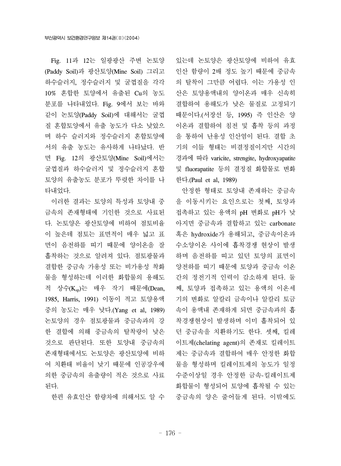Fig. 11과 12는 일광광산 주변 논토양 (Paddy Soil)과 광산토양(Mine Soil) 그리고 하수슬러지, 정수슬러지 및 굴껍질을 각각 10% 혼합한 토양에서 유출된 Cu의 농도 분포를 나타내었다. Fig. 9에서 보는 바와 같이 논토양(Paddy Soil)에 대해서는 굴껍 질 혼합토양에서 유출 농도가 다소 낮았으 며 하수 슬러지와 정수슬러지 혼합토양에 서의 유출 농도는 유사하게 나타났다. 반 면 Fig. 12의 광산토양(Mine Soil)에서는 굴껍질과 하수슬러지 및 정수슬러지 혼합 토양의 유출농도 분포가 뚜렷한 차이를 나 타내었다.

 이러한 결과는 토양의 특성과 토양내 중 금속의 존재형태에 기인한 것으로 사료된 다. 논토양은 광산토양에 비하여 점토비율 이 높은데 점토는 표면적이 매우 넓고 표 면이 음전하를 띠기 때문에 양이온을 잘 흡착하는 것으로 알려져 있다. 점토광물과 결합한 중금속 가용성 또는 비가용성 착화 물을 형성하는데 이러한 화합물의 용해도 적 상수(Ksp)는 매우 작기 때문에(Dean, 1985, Harris, 1991) 이동이 적고 토양용액 중의 농도는 매우 낮다.(Yang et al, 1989) 논토양의 경우 점토광물과 중금속과의 강 한 결합에 의해 중금속의 탈착량이 낮은 것으로 판단된다. 또한 토양내 중금속의 존재형태에서도 논토양은 광산토양에 비하 여 치환태 비율이 낮기 때문에 인공강우에 의한 중금속의 유출량이 적은 것으로 사료 된다.

한편 유효인산 함량차에 의해서도 알 수

있는데 논토양은 광산토양에 비하여 유효 인산 함량이 2배 정도 높기 때문에 중금속 의 탈착이 그만큼 어렵다. 이는 가용성 인 산은 토양용액내의 양이온과 매우 신속히 결합하여 용해도가 낮은 물질로 고정되기 때문이다.(서장선 등, 1995) 즉 인산은 양 이온과 결합하여 침전 및 흡착 등의 과정 을 통하여 난용성 인산염이 된다. 결합 초 기의 이들 형태는 비결정질이지만 시간의 경과에 따라 varicite, strengite, hydroxyapatite 및 fluorapatite 등의 결정질 화합물로 변화 한다.(Paul et al, 1989)

 안정한 형태로 토양내 존재하는 중금속 을 이동시키는 요인으로는 첫째, 토양과 접촉하고 있는 용액의 pH 변화로 pH가 낮 아지면 중금속과 결합하고 있는 carbonate 혹은 hydroxide가 용해되고, 중금속이온과 수소양이온 사이에 흡착경쟁 현상이 발생 하며 음전하를 띠고 있던 토양의 표면이 양전하를 띠기 때문에 토양과 중금속 이온 간의 정전기적 인력이 감소하게 된다. 둘 째, 토양과 접촉하고 있는 용액의 이온세 기의 변화로 알칼리 금속이나 알칼리 토금 속이 용액내 존재하게 되면 중금속과의 흡 착경쟁현상이 발생하며 이미 흡착되어 있 던 중금속을 치환하기도 한다. 셋째, 킬레 이트제(chelating agent)의 존재로 킬레이트 제는 중금속과 결합하여 매우 안정한 화합 물을 형성하며 킬레이트제의 농도가 일정 수준이상일 경우 안정한 금속-킬레이트제 화합물이 형성되어 토양에 흡착될 수 있는 중금속의 양은 줄어들게 된다. 이밖에도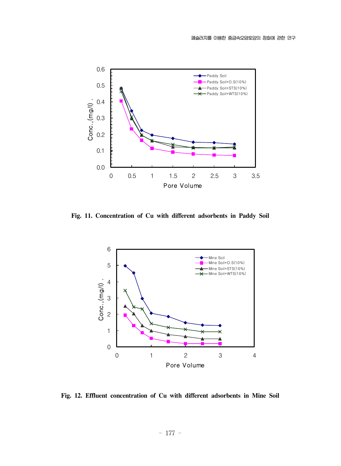

**Fig. 11. Concentration of Cu with different adsorbents in Paddy Soil**



**Fig. 12. Effluent concentration of Cu with different adsorbents in Mine Soil**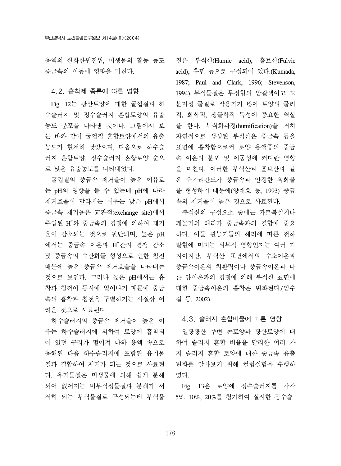용액의 산화한원전위, 미생물의 활동 등도 중금속의 이동에 영향을 미친다.

## 4.2. 흡착제 종류에 따른 영향

 Fig. 12는 광산토양에 대한 굴껍질과 하 수슬러지 및 정수슬러지 혼합토양의 유출 농도 분포를 나타낸 것이다. 그림에서 보 는 바와 같이 굴껍질 혼합토양에서의 유출 농도가 현저히 낮았으며, 다음으로 하수슬 러지 혼합토양, 정수슬러지 혼합토양 순으 로 낮은 유출농도를 나타내었다.

 굴껍질의 중금속 제거율이 높은 이유로 는 pH의 영향을 들 수 있는데 pH에 따라 제거효율이 달라지는 이유는 낮은 pH에서 중금속 제거율은 교환점(exchange site)에서 주입된 H+ 와 중금속의 경쟁에 의하여 제거 율이 감소되는 것으로 판단되며, 높은 pH 에서는 중금속 이온과 H<sup>+</sup>간의 경쟁 감소 및 중금속의 수산화물 형성으로 인한 침전 때문에 높은 중금속 제거효율을 나타내는 것으로 보인다. 그러나 높은 pH에서는 흡 착과 침전이 동시에 일어나기 때문에 중금 속의 흡착과 침전을 구별하기는 사실상 어 려운 것으로 사료된다.

 하수슬러지의 중금속 제거율이 높은 이 유는 하수슬러지에 의하여 토양에 흡착되 어 있던 구리가 떨어져 나와 용액 속으로 용해된 다음 하수슬러지에 포함된 유기물 질과 결합하여 제거가 되는 것으로 사료된 다. 유기물질은 미생물에 의해 쉽게 분해 되어 없어지는 비부식성물질과 분해가 서 서히 되는 부식물질로 구성되는데 부식물

질은 부식산(Humic acid), 훌브산(Fulvic acid), 휴민 등으로 구성되어 있다.(Kumada, 1987; Paul and Clark, 1996; Stevenson, 1994) 부식물질은 무정형의 암갈색이고 고 분자성 물질로 작용기가 많아 토양의 물리 적, 화학적, 생물학적 특성에 중요한 역할 을 한다. 부식화과정(humification)을 거쳐 자연적으로 생성된 부식산은 중금속 등을 표면에 흡착함으로써 토양 용액중의 중금 속 이온의 분포 및 이동성에 커다란 영향 을 미친다. 이러한 부식산과 훌브산과 같 은 유기리간드가 중금속과 안정한 착화물 을 형성하기 때문에(양재호 등, 1993) 중금 속의 제거율이 높은 것으로 사료된다.

 부식산의 구성요소 중에는 카르복실기나 페놀기의 해리가 중금속과의 결합에 중요 하다. 이들 관능기들의 해리에 따른 전하 발현에 미치는 외부적 영향인자는 여러 가 지이지만, 부식산 표면에서의 수소이온과 중금속이온의 치환력이나 중금속이온과 다 른 양이온과의 경쟁에 의해 부식산 표면에 대한 중금속이온의 흡착은 변화된다.(임수 길 등, 2002)

#### 4.3. 슬러지 혼합비율에 따른 영향

 일광광산 주변 논토양과 광산토양에 대 하여 슬러지 혼합 비율을 달리한 여러 가 지 슬러지 혼합 토양에 대한 중금속 유출 변화를 알아보기 위해 컬럼실험을 수행하 였다.

 Fig. 13은 토양에 정수슬러지를 각각 5%, 10%, 20%를 첨가하여 실시한 정수슬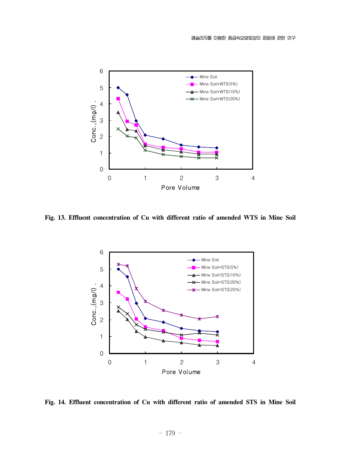

**Fig. 13. Effluent concentration of Cu with different ratio of amended WTS in Mine Soil**



**Fig. 14. Effluent concentration of Cu with different ratio of amended STS in Mine Soil**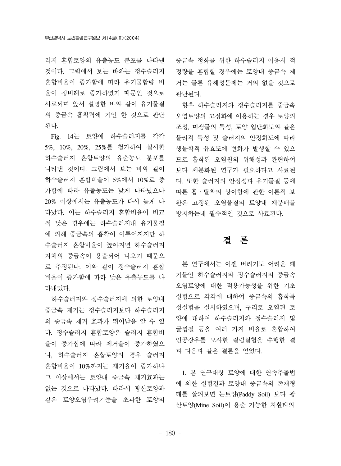러지 혼합토양의 유출농도 분포를 나타낸 것이다. 그림에서 보는 바와는 정수슬러지 혼합비율이 증가함에 따라 유기물함량 비 율이 정비례로 증가하였기 때문인 것으로 사료되며 앞서 설명한 바와 같이 유기물질 의 중금속 흡착력에 기인 한 것으로 판단 된다.

 Fig. 14는 토양에 하수슬러지를 각각 5%, 10%, 20%, 25%를 첨가하여 실시한 하수슬러지 혼합토양의 유출농도 분포를 나타낸 것이다. 그림에서 보는 바와 같이 하수슬러지 혼합비율이 5%에서 10%로 증 가함에 따라 유출농도는 낮게 나타났으나 20% 이상에서는 유출농도가 다시 높게 나 타났다. 이는 하수슬러지 혼합비율이 비교 적 낮은 경우에는 하수슬러지내 유기물질 에 의해 중금속의 흡착이 이루어지지만 하 수슬러지 혼합비율이 높아지면 하수슬러지 자체의 중금속이 용출되어 나오기 때문으 로 추정된다. 이와 같이 정수슬러지 혼합 비율이 증가함에 따라 낮은 유출농도를 나 타내었다.

 하수슬러지와 정수슬러지에 의한 토양내 중금속 제거는 정수슬러지보다 하수슬러지 의 중금속 제거 효과가 뛰어남을 알 수 있 다. 정수슬러지 혼합토양은 슬러지 혼합비 율이 증가함에 따라 제거율이 증가하였으 나, 하수슬러지 혼합토양의 경우 슬러지 혼합비율이 10%까지는 제거율이 증가하나 그 이상에서는 토양내 중금속 제거효과는 없는 것으로 나타났다. 따라서 광산토양과 같은 토양오염우려기준을 초과한 토양의

중금속 정화를 위한 하수슬러지 이용시 적 정량을 혼합할 경우에는 토양내 중금속 제 거는 물론 유해성문제는 거의 없을 것으로 판단된다.

 향후 하수슬러지와 정수슬러지를 중금속 오염토양의 고정화에 이용하는 경우 토양의 조성, 미생물의 특성, 토양 입단화도와 같은 물리적 특성 및 슬러지의 안정화도에 따라 생물학적 유효도에 변화가 발생할 수 있으 므로 흡착된 오염원의 위해성과 관련하여 보다 세분화된 연구가 필요하다고 사료된 다. 또한 슬러지의 안정성과 유기물질 등에 따른 흡․탈착의 상이함에 관한 이론적 보 완은 고정된 오염물질의 토양내 재분배를 방지하는데 필수적인 것으로 사료된다.

## 결 론

 본 연구에서는 이젠 버리기도 어려운 폐 기물인 하수슬러지와 정수슬러지의 중금속 오염토양에 대한 적용가능성을 위한 기초 실험으로 각각에 대하여 중금속의 흡착특 성실험을 실시하였으며, 구리로 오염된 토 양에 대하여 하수슬러지와 정수슬러지 및 굴껍질 등을 여러 가지 비율로 혼합하여 인공강우를 모사한 컬럼실험을 수행한 결 과 다음과 같은 결론을 얻었다.

 1. 본 연구대상 토양에 대한 연속추출법 에 의한 실험결과 토양내 중금속의 존재형 태를 살펴보면 논토양(Paddy Soil) 보다 광 산토양(Mine Soil)이 용출 가능한 치환태의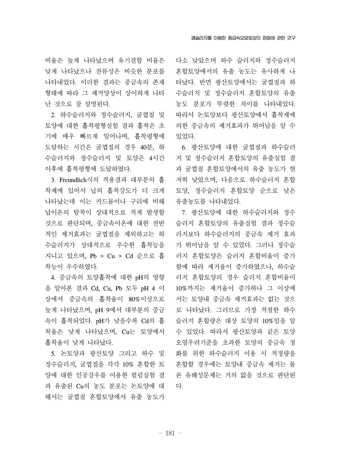비율은 높게 나타났으며 유기결합 비율은 낮게 나타났으나 잔류성은 비슷한 분포를 나타내었다. 이러한 결과는 중금속의 존재 형태에 따라 그 제거양상이 상이하게 나타 난 것으로 잘 설명된다.

 2. 하수슬러지와 정수슬러지, 굴껍질 및 토양에 대한 흡착평형실험 결과 흡착은 초 기에 매우 빠르게 일어나며, 흡착평형에 도달하는 시간은 굴껍질의 경우 40분, 하 수슬러지와 정수슬러지 및 토양은 4시간 이후에 흡착평형에 도달하였다.

 3. Freundlich식의 적용결과 대부분의 흡 착제에 있어서 납의 흡착강도가 더 크게 나타났는데 이는 카드뮴이나 구리에 비해 납이온의 탈착이 상대적으로 적게 발생할 것으로 판단되며, 중금속이온에 대한 전반 적인 제거효과는 굴껍질을 제외하고는 하 수슬러지가 상대적으로 우수한 흡착능을 지니고 있으며, Pb > Cu > Cd 순으로 흡 착능이 우수하였다.

 4. 중금속의 토양흡착에 대한 pH의 영향 을 알아본 결과 Cd, Cu, Pb 모두 pH 4 이 상에서 중금속의 흡착율이 80%이상으로 높게 나타났으며, pH 9에서 대부분의 중금 속이 흡착되었다. pH가 낮을수록 Cd의 흡 착율은 낮게 나타났으며, Cu는 토양에서 흡착율이 낮게 나타났다.

 5. 논토양과 광산토양 그리고 하수 및 정수슬러지, 굴껍질을 각각 10% 혼합한 토 양에 대한 인공강우를 이용한 컬럼실험 결 과 유출된 Cu의 농도 분포는 논토양에 대 해서는 굴껍질 혼합토양에서 유출 농도가

다소 낮았으며 하수 슬러지와 정수슬러지 혼합토양에서의 유출 농도는 유사하게 나 타났다. 반면 광산토양에서는 굴껍질과 하 수슬러지 및 정수슬러지 혼합토양의 유출 농도 분포가 뚜렷한 차이를 나타내었다. 따라서 논토양보다 광산토양에서 흡착제에 의한 중금속의 제거효과가 뛰어남을 알 수 있었다.

 6. 광산토양에 대한 굴껍질과 하수슬러 지 및 정수슬러지 혼합토양의 유출실험 결 과 굴껍질 혼합토양에서의 유출 농도가 현 저히 낮았으며, 다음으로 하수슬러지 혼합 토양, 정수슬러지 혼합토양 순으로 낮은 유출농도를 나타내었다.

 7. 광산토양에 대한 하수슬러지와 정수 슬러지 혼합토양의 유출실험 결과 정수슬 러지보다 하수슬러지의 중금속 제거 효과 가 뛰어남을 알 수 있었다. 그러나 정수슬 러지 혼합토양은 슬러지 혼합비율이 증가 함에 따라 제거율이 증가하였으나, 하수슬 러지 혼합토양의 경우 슬러지 혼합비율이 10%까지는 제거율이 증가하나 그 이상에 서는 토양내 중금속 제거효과는 없는 것으 로 나타났다. 그러므로 가장 적절한 하수 슬러지 혼합량은 대상 토양의 10%임을 알 수 있었다. 따라서 광산토양과 같은 토양 오염우려기준을 초과한 토양의 중금속 정 화를 위한 하수슬러지 이용 시 적정량을 혼합할 경우에는 토양내 중금속 제거는 물 론 유해성문제는 거의 없을 것으로 판단된 다.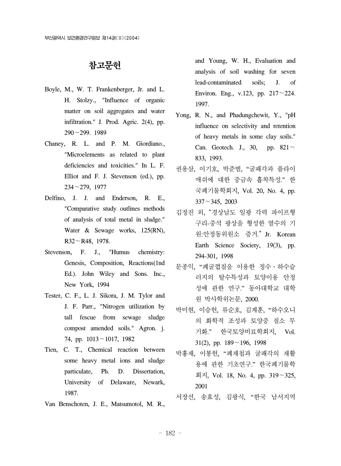## 참고문헌

- Boyle, M., W. T. Frankenberger, Jr. and L. H. Stolzy., "Influence of organic matter on soil aggregates and water infiltration." J. Prod. Agric. 2(4), pp. 290~299. 1989
- Chaney, R. L. and P. M. Giordiano., "Microelements as related to plant deficiencies and toxicities." In L. F. Elliot and F. J. Stevenson (ed.), pp. 234~279, 1977
- Delfino, J. J. and Enderson, R. E., "Comparative study outlines methods of analysis of total metal in sludge." Water & Sewage works, 125(RN), R32~R48, 1978.
- Stevenson, F. J., "Humus chemistry: Genesis, Composition, Reactions(1nd Ed.). John Wiley and Sons. Inc., New York, 1994
- Tester, C. F., L. J. Sikora, J. M. Tylor and J. F. Parr., "Nitrogen utilization by tall fescue from sewage sludge compost amended soils." Agron. j. 74, pp. 1013~1017, 1982
- Tien, C. T., Chemical reaction between some heavy metal ions and sludge particulate, Ph. D. Dissertation, University of Delaware, Newark, 1987.
- Van Benschoten, J. E., Matsumotol, M. R.,

and Young, W. H., Evaluation and analysis of soil washing for seven lead-contaminated soils; J. of Environ. Eng., v.123, pp.  $217 - 224$ . 1997.

- Yong, R. N., and Phadungchewit, Y., "pH influence on selectivity and retention of heavy metals in some clay soils." Can. Geotech. J., 30, pp.  $821 \sim$ 833, 1993.
- 권용삼, 이기호, 박준범, "굴패각과 플라이 애쉬에 대한 중금속 흡착특성." 한 국폐기물학회지, Vol. 20, No. 4, pp.  $337 - 345$ , 2003
- 김정진 외,경상남도 일광 각력 파이프형 구리-중석 광상을 형성한 열수의 기 원:안정동위원소 증거." Jr. Korean Earth Science Society, 19(3), pp. 294-301, 1998
- 문종익, "폐굴껍질을 이용한 정수․하수슬 러지의 탈수특성과 토양이용 안정 성에 관한 연구." 동아대학교 대학 원 박사학위논문, 2000.
- 박미현, 이승헌, 류순호, 김계훈, "하수오니 의 화학적 조성과 토양중 질소 무 기화." 한국토양비료학회지, Vol. 31(2), pp.  $189 \sim 196$ , 1998
- 박흥재, 이봉헌, "폐재첩과 굴패각의 재활 용에 관한 기초연구." 한국폐기물학 회지, Vol. 18, No. 4, pp. 319~325, 2001
- 서장선, 송효성, 김광식, "한국 남서지역